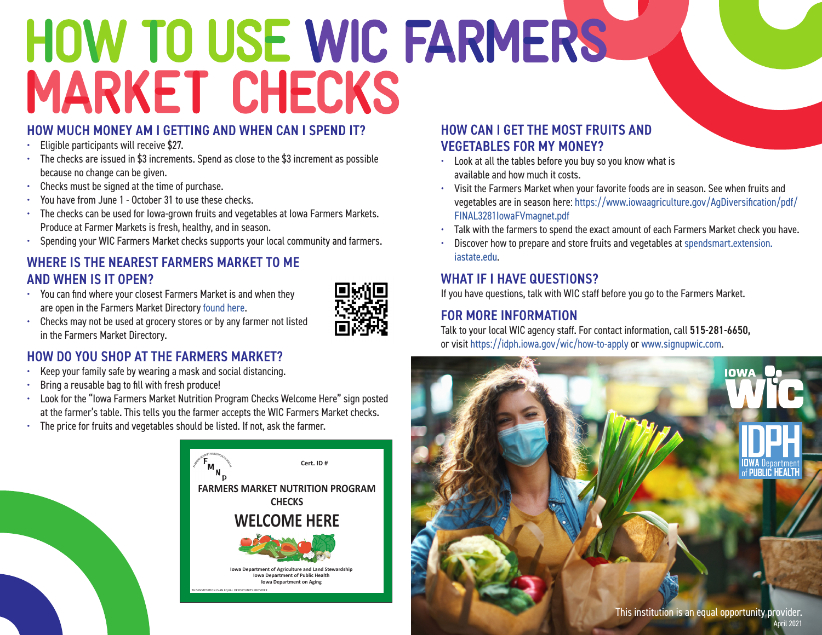# HOW TO USE WIC FARMERS **MARKET CHECKS**

#### HOW MUCH MONEY AM I GETTING AND WHEN CAN I SPEND IT?

- Eligible participants will receive \$27.
- The checks are issued in \$3 increments. Spend as close to the \$3 increment as possible because no change can be given.
- Checks must be signed at the time of purchase.
- You have from June 1 October 31 to use these checks.
- The checks can be used for Iowa-grown fruits and vegetables at Iowa Farmers Markets. Produce at Farmer Markets is fresh, healthy, and in season.
- Spending your WIC Farmers Market checks supports your local community and farmers.

### WHERE IS THE NEAREST FARMERS MARKET TO ME AND WHEN IS IT OPEN?

• You can find where your closest Farmers Market is and when they are open in the Farmers Market Directory [found here.](http://www.idalsdata.org/fmnp/index.cfm?fuseaction=main.		formFarmeArsMarketDirectory)



• Checks may not be used at grocery stores or by any farmer not listed in the Farmers Market Directory.

## HOW DO YOU SHOP AT THE FARMERS MARKET?

- Keep your family safe by wearing a mask and social distancing.
- Bring a reusable bag to fill with fresh produce!
- Look for the "Iowa Farmers Market Nutrition Program Checks Welcome Here" sign posted at the farmer's table. This tells you the farmer accepts the WIC Farmers Market checks.
- The price for fruits and vegetables should be listed. If not, ask the farmer.



### HOW CAN I GET THE MOST FRUITS AND VEGETABLES FOR MY MONEY?

- Look at all the tables before you buy so you know what is available and how much it costs.
- Visit the Farmers Market when your favorite foods are in season. See when fruits and vegetables are in season here: [https://www.iowaagriculture.gov/AgDiversification/pdf/](https://www.iowaagriculture.gov/AgDiversification/pdf/FINAL3281IowaFVmagnet.pdf) [FINAL3281IowaFVmagnet.pdf](https://www.iowaagriculture.gov/AgDiversification/pdf/FINAL3281IowaFVmagnet.pdf)
- Talk with the farmers to spend the exact amount of each Farmers Market check you have.
- Discover how to prepare and store fruits and vegetables at [spendsmart.extension.](http://spendsmart.extension.iastate.edu/) [iastate.edu](http://spendsmart.extension.iastate.edu/).

### WHAT IF I HAVE QUESTIONS?

If you have questions, talk with WIC staff before you go to the Farmers Market.

### FOR MORE INFORMATION

Talk to your local WIC agency staff. For contact information, call 515-281-6650, or visit<https://idph.iowa.gov/wic/how-to-appl>y or <www.signupwic.com>.